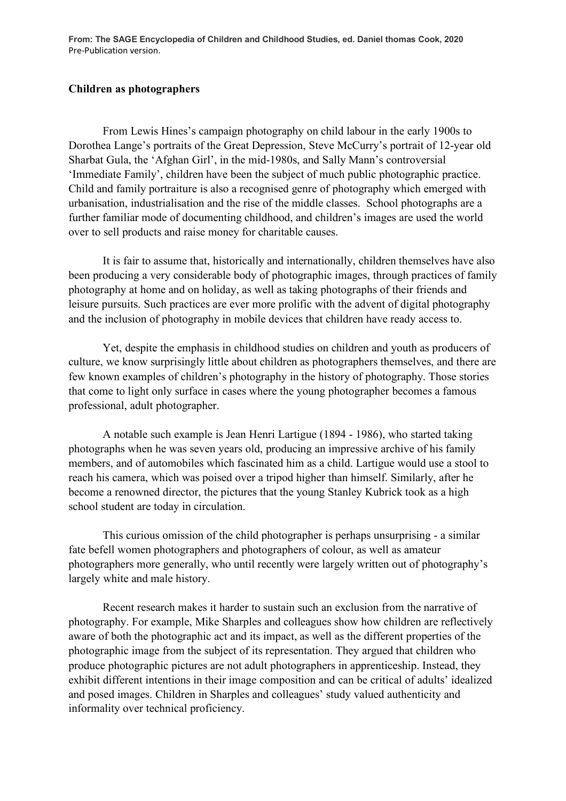**From: The SAGE Encyclopedia of Children and Childhood Studies, ed. Daniel thomas Cook, 2020** Pre-Publication version.

## **Children as photographers**

From Lewis Hines's campaign photography on child labour in the early 1900s to Dorothea Lange's portraits of the Great Depression, Steve McCurry's portrait of 12-year old Sharbat Gula, the 'Afghan Girl', in the mid-1980s, and Sally Mann's controversial 'Immediate Family', children have been the subject of much public photographic practice. Child and family portraiture is also a recognised genre of photography which emerged with urbanisation, industrialisation and the rise of the middle classes. School photographs are a further familiar mode of documenting childhood, and children's images are used the world over to sell products and raise money for charitable causes.

It is fair to assume that, historically and internationally, children themselves have also been producing a very considerable body of photographic images, through practices of family photography at home and on holiday, as well as taking photographs of their friends and leisure pursuits. Such practices are ever more prolific with the advent of digital photography and the inclusion of photography in mobile devices that children have ready access to.

Yet, despite the emphasis in childhood studies on children and youth as producers of culture, we know surprisingly little about children as photographers themselves, and there are few known examples of children's photography in the history of photography. Those stories that come to light only surface in cases where the young photographer becomes a famous professional, adult photographer.

A notable such example is Jean Henri Lartigue (1894 - 1986), who started taking photographs when he was seven years old, producing an impressive archive of his family members, and of automobiles which fascinated him as a child. Lartigue would use a stool to reach his camera, which was poised over a tripod higher than himself. Similarly, after he become a renowned director, the pictures that the young Stanley Kubrick took as a high school student are today in circulation.

This curious omission of the child photographer is perhaps unsurprising - a similar fate befell women photographers and photographers of colour, as well as amateur photographers more generally, who until recently were largely written out of photography's largely white and male history.

Recent research makes it harder to sustain such an exclusion from the narrative of photography. For example, Mike Sharples and colleagues show how children are reflectively aware of both the photographic act and its impact, as well as the different properties of the photographic image from the subject of its representation. They argued that children who produce photographic pictures are not adult photographers in apprenticeship. Instead, they exhibit different intentions in their image composition and can be critical of adults' idealized and posed images. Children in Sharples and colleagues' study valued authenticity and informality over technical proficiency.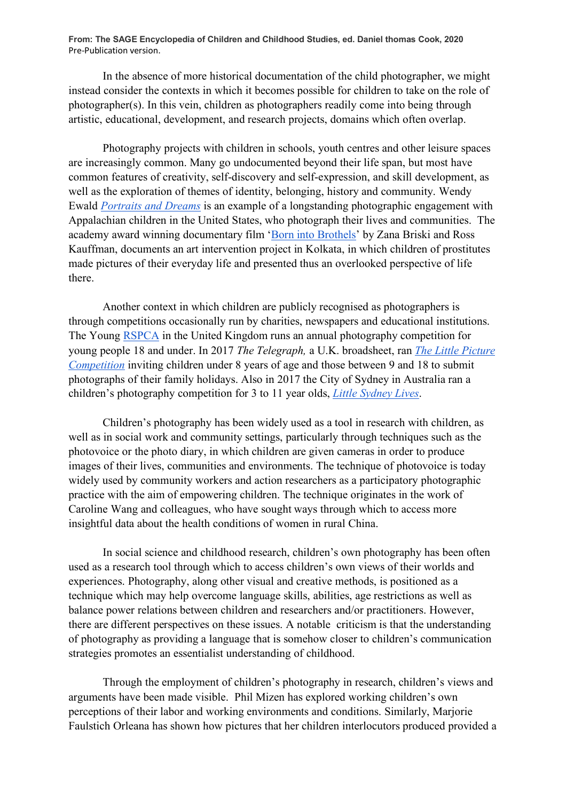**From: The SAGE Encyclopedia of Children and Childhood Studies, ed. Daniel thomas Cook, 2020** Pre-Publication version.

In the absence of more historical documentation of the child photographer, we might instead consider the contexts in which it becomes possible for children to take on the role of photographer(s). In this vein, children as photographers readily come into being through artistic, educational, development, and research projects, domains which often overlap.

Photography projects with children in schools, youth centres and other leisure spaces are increasingly common. Many go undocumented beyond their life span, but most have common features of creativity, self-discovery and self-expression, and skill development, as well as the exploration of themes of identity, belonging, history and community. Wendy Ewald *Portraits and Dreams* is an example of a longstanding photographic engagement with Appalachian children in the United States, who photograph their lives and communities. The academy award winning documentary film 'Born into Brothels' by Zana Briski and Ross Kauffman, documents an art intervention project in Kolkata, in which children of prostitutes made pictures of their everyday life and presented thus an overlooked perspective of life there.

Another context in which children are publicly recognised as photographers is through competitions occasionally run by charities, newspapers and educational institutions. The Young RSPCA in the United Kingdom runs an annual photography competition for young people 18 and under. In 2017 *The Telegraph,* a U.K. broadsheet, ran *The Little Picture Competition* inviting children under 8 years of age and those between 9 and 18 to submit photographs of their family holidays. Also in 2017 the City of Sydney in Australia ran a children's photography competition for 3 to 11 year olds, *Little Sydney Lives*.

Children's photography has been widely used as a tool in research with children, as well as in social work and community settings, particularly through techniques such as the photovoice or the photo diary, in which children are given cameras in order to produce images of their lives, communities and environments. The technique of photovoice is today widely used by community workers and action researchers as a participatory photographic practice with the aim of empowering children. The technique originates in the work of Caroline Wang and colleagues, who have sought ways through which to access more insightful data about the health conditions of women in rural China.

In social science and childhood research, children's own photography has been often used as a research tool through which to access children's own views of their worlds and experiences. Photography, along other visual and creative methods, is positioned as a technique which may help overcome language skills, abilities, age restrictions as well as balance power relations between children and researchers and/or practitioners. However, there are different perspectives on these issues. A notable criticism is that the understanding of photography as providing a language that is somehow closer to children's communication strategies promotes an essentialist understanding of childhood.

Through the employment of children's photography in research, children's views and arguments have been made visible. Phil Mizen has explored working children's own perceptions of their labor and working environments and conditions. Similarly, Marjorie Faulstich Orleana has shown how pictures that her children interlocutors produced provided a